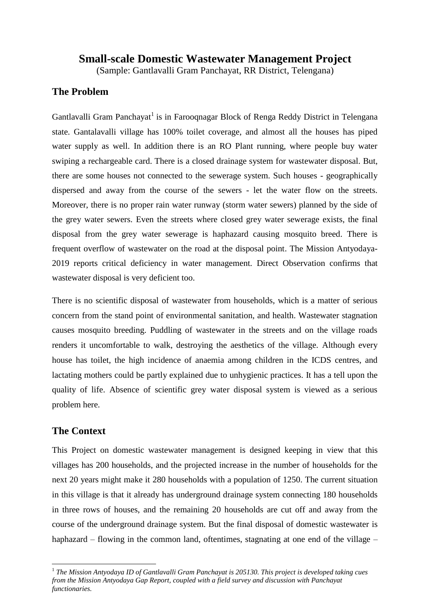# **Small-scale Domestic Wastewater Management Project**

(Sample: Gantlavalli Gram Panchayat, RR District, Telengana)

#### **The Problem**

Gantlavalli Gram Panchayat<sup>1</sup> is in Farooqnagar Block of Renga Reddy District in Telengana state. Gantalavalli village has 100% toilet coverage, and almost all the houses has piped water supply as well. In addition there is an RO Plant running, where people buy water swiping a rechargeable card. There is a closed drainage system for wastewater disposal. But, there are some houses not connected to the sewerage system. Such houses - geographically dispersed and away from the course of the sewers - let the water flow on the streets. Moreover, there is no proper rain water runway (storm water sewers) planned by the side of the grey water sewers. Even the streets where closed grey water sewerage exists, the final disposal from the grey water sewerage is haphazard causing mosquito breed. There is frequent overflow of wastewater on the road at the disposal point. The Mission Antyodaya-2019 reports critical deficiency in water management. Direct Observation confirms that wastewater disposal is very deficient too.

There is no scientific disposal of wastewater from households, which is a matter of serious concern from the stand point of environmental sanitation, and health. Wastewater stagnation causes mosquito breeding. Puddling of wastewater in the streets and on the village roads renders it uncomfortable to walk, destroying the aesthetics of the village. Although every house has toilet, the high incidence of anaemia among children in the ICDS centres, and lactating mothers could be partly explained due to unhygienic practices. It has a tell upon the quality of life. Absence of scientific grey water disposal system is viewed as a serious problem here.

### **The Context**

l

This Project on domestic wastewater management is designed keeping in view that this villages has 200 households, and the projected increase in the number of households for the next 20 years might make it 280 households with a population of 1250. The current situation in this village is that it already has underground drainage system connecting 180 households in three rows of houses, and the remaining 20 households are cut off and away from the course of the underground drainage system. But the final disposal of domestic wastewater is haphazard – flowing in the common land, oftentimes, stagnating at one end of the village –

<sup>&</sup>lt;sup>1</sup> The Mission Antyodaya ID of Gantlavalli Gram Panchayat is 205130. This project is developed taking cues *from the Mission Antyodaya Gap Report, coupled with a field survey and discussion with Panchayat functionaries.*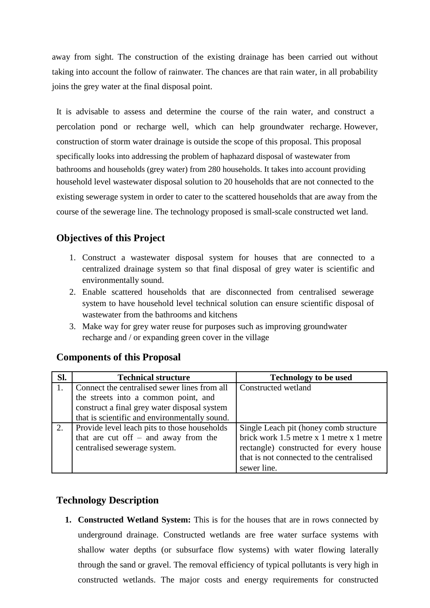away from sight. The construction of the existing drainage has been carried out without taking into account the follow of rainwater. The chances are that rain water, in all probability joins the grey water at the final disposal point.

It is advisable to assess and determine the course of the rain water, and construct a percolation pond or recharge well, which can help groundwater recharge. However, construction of storm water drainage is outside the scope of this proposal. This proposal specifically looks into addressing the problem of haphazard disposal of wastewater from bathrooms and households (grey water) from 280 households. It takes into account providing household level wastewater disposal solution to 20 households that are not connected to the existing sewerage system in order to cater to the scattered households that are away from the course of the sewerage line. The technology proposed is small-scale constructed wet land.

# **Objectives of this Project**

- 1. Construct a wastewater disposal system for houses that are connected to a centralized drainage system so that final disposal of grey water is scientific and environmentally sound.
- 2. Enable scattered households that are disconnected from centralised sewerage system to have household level technical solution can ensure scientific disposal of wastewater from the bathrooms and kitchens
- 3. Make way for grey water reuse for purposes such as improving groundwater recharge and / or expanding green cover in the village

| Sl. | <b>Technical structure</b>                    | <b>Technology to be used</b>             |
|-----|-----------------------------------------------|------------------------------------------|
|     | Connect the centralised sewer lines from all  | Constructed wetland                      |
|     | the streets into a common point, and          |                                          |
|     | construct a final grey water disposal system  |                                          |
|     | that is scientific and environmentally sound. |                                          |
| 2.  | Provide level leach pits to those households  | Single Leach pit (honey comb structure)  |
|     | that are cut off $-$ and away from the        | brick work 1.5 metre x 1 metre x 1 metre |
|     | centralised sewerage system.                  | rectangle) constructed for every house   |
|     |                                               | that is not connected to the centralised |
|     |                                               | sewer line.                              |

### **Components of this Proposal**

#### **Technology Description**

**1. Constructed Wetland System:** This is for the houses that are in rows connected by underground drainage. Constructed wetlands are free water surface systems with shallow water depths (or subsurface flow systems) with water flowing laterally through the sand or gravel. The removal efficiency of typical pollutants is very high in constructed wetlands. The major costs and energy requirements for constructed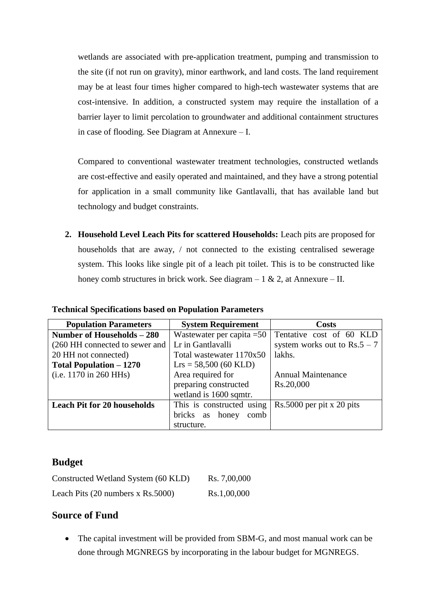wetlands are associated with pre-application treatment, pumping and transmission to the site (if not run on gravity), minor earthwork, and land costs. The land requirement may be at least four times higher compared to high-tech wastewater systems that are cost-intensive. In addition, a constructed system may require the installation of a barrier layer to limit percolation to groundwater and additional containment structures in case of flooding. See Diagram at Annexure – I.

Compared to conventional wastewater treatment technologies, constructed wetlands are cost-effective and easily operated and maintained, and they have a strong potential for application in a small community like Gantlavalli, that has available land but technology and budget constraints.

**2. Household Level Leach Pits for scattered Households:** Leach pits are proposed for households that are away, / not connected to the existing centralised sewerage system. This looks like single pit of a leach pit toilet. This is to be constructed like honey comb structures in brick work. See diagram  $-1 \& 2$ , at Annexure  $- II$ .

| <b>Population Parameters</b>       | <b>System Requirement</b>     | <b>Costs</b>                   |
|------------------------------------|-------------------------------|--------------------------------|
| Number of Households – 280         | Wastewater per capita $=50$   | Tentative cost of 60 KLD       |
| (260 HH connected to sewer and     | Lr in Gantlavalli             | system works out to $Rs.5 - 7$ |
| 20 HH not connected)               | Total wastewater 1170x50      | lakhs.                         |
| <b>Total Population – 1270</b>     | $Lrs = 58,500 (60 KLD)$       |                                |
| (i.e. 1170 in 260 HHs)             | Area required for             | <b>Annual Maintenance</b>      |
|                                    | preparing constructed         | Rs.20,000                      |
|                                    | wetland is 1600 sqmtr.        |                                |
| <b>Leach Pit for 20 households</b> | This is constructed using     | $Rs.5000$ per pit x 20 pits    |
|                                    | bricks<br>honey<br>comb<br>as |                                |
|                                    | structure.                    |                                |

**Technical Specifications based on Population Parameters**

### **Budget**

| Constructed Wetland System (60 KLD)                 | Rs. 7,00,000 |
|-----------------------------------------------------|--------------|
| Leach Pits $(20 \text{ numbers x} \text{ Rs.}5000)$ | Rs.1,00,000  |

### **Source of Fund**

• The capital investment will be provided from SBM-G, and most manual work can be done through MGNREGS by incorporating in the labour budget for MGNREGS.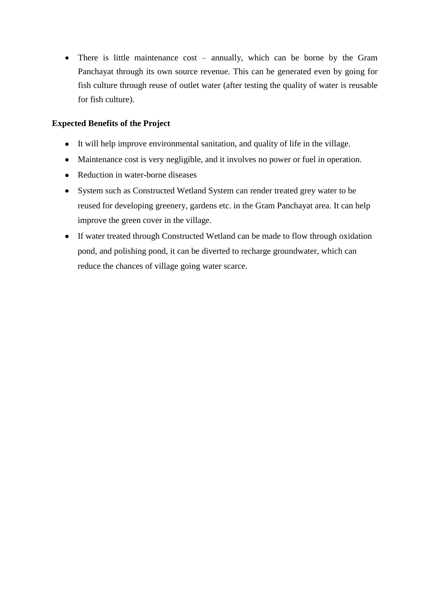• There is little maintenance cost – annually, which can be borne by the Gram Panchayat through its own source revenue. This can be generated even by going for fish culture through reuse of outlet water (after testing the quality of water is reusable for fish culture).

#### **Expected Benefits of the Project**

- It will help improve environmental sanitation, and quality of life in the village.
- Maintenance cost is very negligible, and it involves no power or fuel in operation.
- Reduction in water-borne diseases
- System such as Constructed Wetland System can render treated grey water to be reused for developing greenery, gardens etc. in the Gram Panchayat area. It can help improve the green cover in the village.
- If water treated through Constructed Wetland can be made to flow through oxidation pond, and polishing pond, it can be diverted to recharge groundwater, which can reduce the chances of village going water scarce.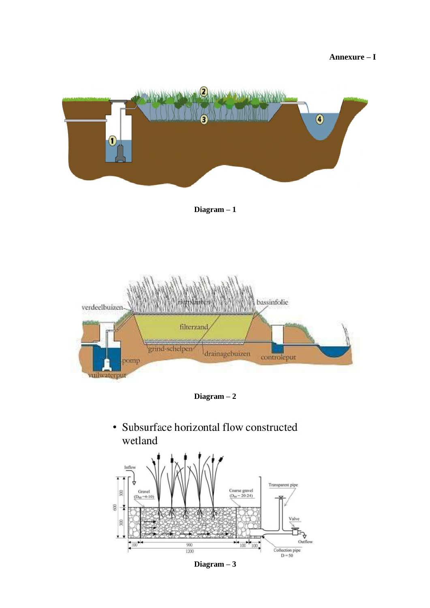**Annexure – I**







#### **Diagram – 3**